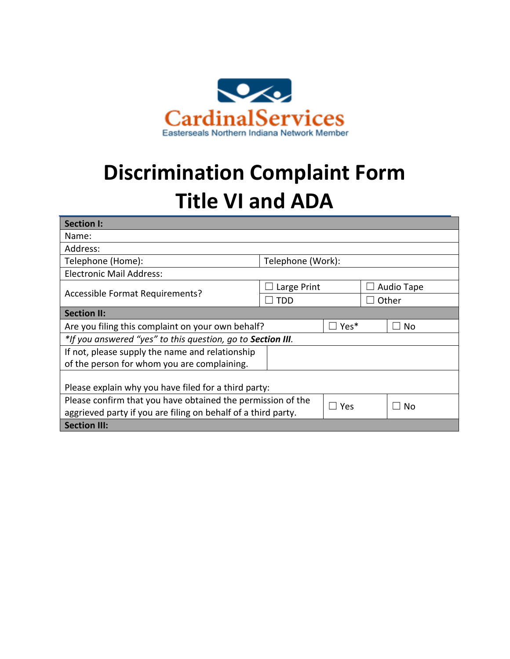

## **Discrimination Complaint Form Title VI and ADA**

| <b>Section I:</b>                                             |                   |       |            |                            |  |
|---------------------------------------------------------------|-------------------|-------|------------|----------------------------|--|
| Name:                                                         |                   |       |            |                            |  |
| Address:                                                      |                   |       |            |                            |  |
| Telephone (Home):                                             | Telephone (Work): |       |            |                            |  |
| <b>Electronic Mail Address:</b>                               |                   |       |            |                            |  |
| Accessible Format Requirements?                               | Large Print       |       | Audio Tape |                            |  |
|                                                               | <b>TDD</b>        |       | Other      |                            |  |
| <b>Section II:</b>                                            |                   |       |            |                            |  |
| Are you filing this complaint on your own behalf?             |                   | Yes*  |            | No                         |  |
| *If you answered "yes" to this question, go to Section III.   |                   |       |            |                            |  |
| If not, please supply the name and relationship               |                   |       |            |                            |  |
| of the person for whom you are complaining.                   |                   |       |            |                            |  |
|                                                               |                   |       |            |                            |  |
| Please explain why you have filed for a third party:          |                   |       |            |                            |  |
| Please confirm that you have obtained the permission of the   |                   | l Yes |            | <b>No</b><br>$\mathcal{L}$ |  |
| aggrieved party if you are filing on behalf of a third party. |                   |       |            |                            |  |
| <b>Section III:</b>                                           |                   |       |            |                            |  |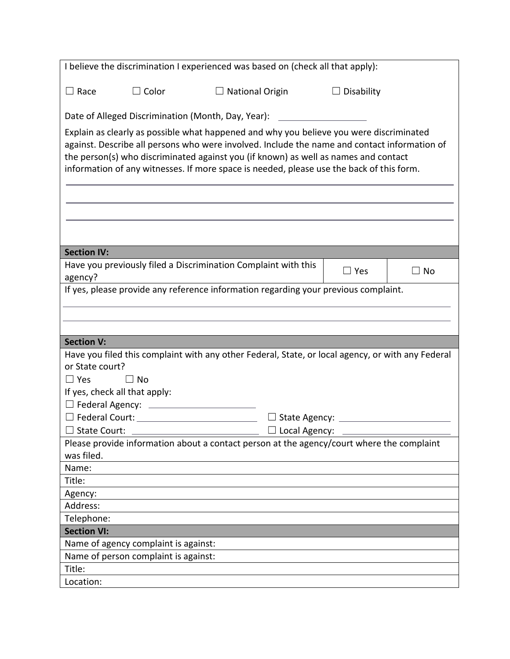| I believe the discrimination I experienced was based on (check all that apply):                                                                                                                                                                                                                                                                                            |                                                                                             |                                                                |                            |  |  |  |
|----------------------------------------------------------------------------------------------------------------------------------------------------------------------------------------------------------------------------------------------------------------------------------------------------------------------------------------------------------------------------|---------------------------------------------------------------------------------------------|----------------------------------------------------------------|----------------------------|--|--|--|
| $\Box$ Race                                                                                                                                                                                                                                                                                                                                                                | $\Box$ Color                                                                                | $\Box$ National Origin                                         | $\Box$ Disability          |  |  |  |
| Date of Alleged Discrimination (Month, Day, Year):                                                                                                                                                                                                                                                                                                                         |                                                                                             |                                                                |                            |  |  |  |
| Explain as clearly as possible what happened and why you believe you were discriminated<br>against. Describe all persons who were involved. Include the name and contact information of<br>the person(s) who discriminated against you (if known) as well as names and contact<br>information of any witnesses. If more space is needed, please use the back of this form. |                                                                                             |                                                                |                            |  |  |  |
|                                                                                                                                                                                                                                                                                                                                                                            |                                                                                             |                                                                |                            |  |  |  |
| <b>Section IV:</b>                                                                                                                                                                                                                                                                                                                                                         |                                                                                             |                                                                |                            |  |  |  |
| agency?                                                                                                                                                                                                                                                                                                                                                                    |                                                                                             | Have you previously filed a Discrimination Complaint with this | $\square$ Yes<br>$\Box$ No |  |  |  |
| If yes, please provide any reference information regarding your previous complaint.                                                                                                                                                                                                                                                                                        |                                                                                             |                                                                |                            |  |  |  |
|                                                                                                                                                                                                                                                                                                                                                                            |                                                                                             |                                                                |                            |  |  |  |
|                                                                                                                                                                                                                                                                                                                                                                            |                                                                                             |                                                                |                            |  |  |  |
| <b>Section V:</b>                                                                                                                                                                                                                                                                                                                                                          |                                                                                             |                                                                |                            |  |  |  |
| Have you filed this complaint with any other Federal, State, or local agency, or with any Federal                                                                                                                                                                                                                                                                          |                                                                                             |                                                                |                            |  |  |  |
| or State court?                                                                                                                                                                                                                                                                                                                                                            |                                                                                             |                                                                |                            |  |  |  |
| $\Box$ Yes<br>$\Box$ No                                                                                                                                                                                                                                                                                                                                                    |                                                                                             |                                                                |                            |  |  |  |
| If yes, check all that apply:                                                                                                                                                                                                                                                                                                                                              |                                                                                             |                                                                |                            |  |  |  |
|                                                                                                                                                                                                                                                                                                                                                                            |                                                                                             |                                                                |                            |  |  |  |
|                                                                                                                                                                                                                                                                                                                                                                            | $\Box$ Federal Court: $\Box$<br>$\Box$ State Agency: $\_\_\_\_\_\_\_\_\_\_\_\_\_\_\_\_\_\_$ |                                                                |                            |  |  |  |
| $\Box$ State Court:                                                                                                                                                                                                                                                                                                                                                        | $\Box$ Local Agency:                                                                        |                                                                |                            |  |  |  |
| Please provide information about a contact person at the agency/court where the complaint                                                                                                                                                                                                                                                                                  |                                                                                             |                                                                |                            |  |  |  |
| was filed.                                                                                                                                                                                                                                                                                                                                                                 |                                                                                             |                                                                |                            |  |  |  |
| Name:                                                                                                                                                                                                                                                                                                                                                                      |                                                                                             |                                                                |                            |  |  |  |
| Title:                                                                                                                                                                                                                                                                                                                                                                     |                                                                                             |                                                                |                            |  |  |  |
| Agency:                                                                                                                                                                                                                                                                                                                                                                    |                                                                                             |                                                                |                            |  |  |  |
| Address:                                                                                                                                                                                                                                                                                                                                                                   |                                                                                             |                                                                |                            |  |  |  |
| Telephone:                                                                                                                                                                                                                                                                                                                                                                 |                                                                                             |                                                                |                            |  |  |  |
| <b>Section VI:</b>                                                                                                                                                                                                                                                                                                                                                         |                                                                                             |                                                                |                            |  |  |  |
| Name of agency complaint is against:                                                                                                                                                                                                                                                                                                                                       |                                                                                             |                                                                |                            |  |  |  |
| Name of person complaint is against:                                                                                                                                                                                                                                                                                                                                       |                                                                                             |                                                                |                            |  |  |  |
| Title:                                                                                                                                                                                                                                                                                                                                                                     |                                                                                             |                                                                |                            |  |  |  |
| Location:                                                                                                                                                                                                                                                                                                                                                                  |                                                                                             |                                                                |                            |  |  |  |